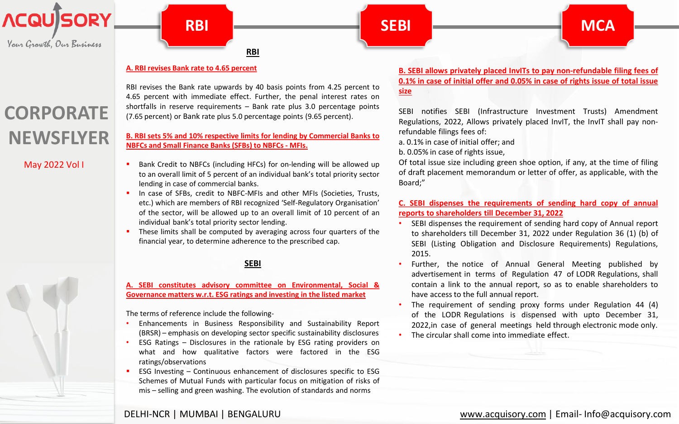<span id="page-0-0"></span>

Your Growth, Our Business

## **CORPORATE NEWSFLYER**

May 2022 Vol I



**MCA**

#### **A. RBI revises Bank rate to 4.65 [percent](https://www.rbi.org.in/Scripts/NotificationUser.aspx?Id=12312&Mode=0)**

RBI revises the Bank rate upwards by 40 basis points from 4.25 percent to 4.65 percent with immediate effect. Further, the penal interest rates on shortfalls in reserve requirements – Bank rate plus 3.0 percentage points (7.65 percent) or Bank rate plus 5.0 percentage points (9.65 percent).

#### **B. RBI sets 5% and 10% respective limits for lending by [Commercial](https://www.rbi.org.in/Scripts/NotificationUser.aspx?Id=12317&Mode=0) Banks to NBFCs and Small Finance Banks (SFBs) to NBFCs- MFIs.**

- Bank Credit to NBFCs (including HFCs) for on-lending will be allowed up to an overall limit of 5 percent of an individual bank's total priority sector lending in case of commercial banks.
	- In case of SFBs, credit to NBFC-MFIs and other MFIs (Societies, Trusts, etc.) which are members of RBI recognized 'Self-Regulatory Organisation' of the sector, will be allowed up to an overall limit of 10 percent of an individual bank's total priority sector lending.
- These limits shall be computed by averaging across four quarters of the financial year, to determine adherence to the prescribed cap.

#### **[SEBI](https://www.sebi.gov.in/legal/circulars/apr-2022/clarification-on-applicability-of-regulation-23-4-read-with-regulation-23-3-e-of-the-sebi-listing-obligations-and-disclosure-requirements-regulations-2015-in-relation-to-related-party-transactio-_57807.html)**

#### **A. SEBI constitutes advisory committee on [Environmental,](https://www.sebi.gov.in/media/press-releases/may-2022/sebi-constitutes-advisory-committee-on-environmental-social-and-governance-esg-matters_58794.html) Social & Governance matters w.r.t. ESG ratings and investing in the listed market**

The terms of reference include the following-

- Enhancements in Business Responsibility and Sustainability Report (BRSR) – emphasis on developing sector specific sustainability disclosures
- ESG Ratings Disclosures in the rationale by ESG rating providers on what and how qualitative factors were factored in the ESG ratings/observations
- ESG Investing Continuous enhancement of disclosures specific to ESG Schemes of Mutual Funds with particular focus on mitigation of risks of mis – selling and green washing. The evolution of standards and norms

#### **B. SEBI allows privately placed InvITs to pay [non-refundable](https://www.sebi.gov.in/legal/regulations/may-2022/securities-and-exchange-board-of-india-infrastructure-investment-trusts-amendment-regulations-2022_58820.html) filing fees of 0.1% in case of initial offer and 0.05% in case of rights issue of total issue size**

SEBI notifies SEBI (Infrastructure Investment Trusts) Amendment Regulations, 2022, Allows privately placed InvIT, the InvIT shall pay nonrefundable filings fees of:

a. 0.1% in case of initial offer; and

b. 0.05% in case of rights issue,

Of total issue size including green shoe option, if any, at the time of filing of draft placement memorandum or letter of offer, as applicable, with the Board;"

#### **C. SEBI dispenses the [requirements](https://www.sebi.gov.in/legal/circulars/may-2022/relaxation-from-compliance-with-certain-provisions-of-the-sebi-listing-obligations-and-disclosure-requirements-regulations-2015_58920.html) of sending hard copy of annual reports to shareholders till December 31, 2022**

- SEBI dispenses the requirement of sending hard copy of Annual report to shareholders till December 31, 2022 under Regulation 36 (1) (b) of SEBI (Listing Obligation and Disclosure Requirements) Regulations, 2015.
- Further, the notice of Annual General Meeting published by advertisement in terms of Regulation 47 of LODR Regulations, shall contain a link to the annual report, so as to enable shareholders to have access to the full annual report.
- The requirement of sending proxy forms under Regulation 44 (4) of the LODR Regulations is dispensed with upto December 31, 2022,in case of general meetings held through electronic mode only.
- The circular shall come into immediate effect.